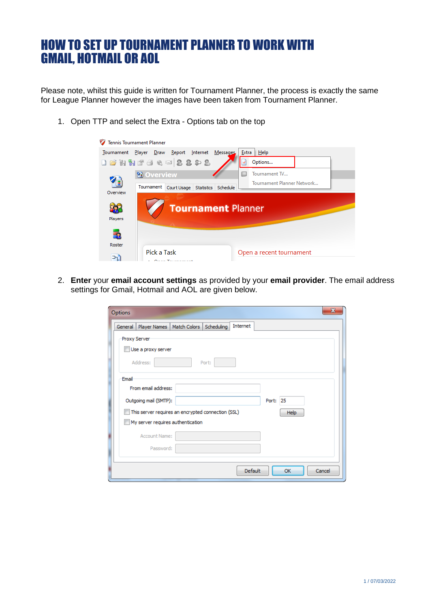# HOW TO SET UP TOURNAMENT PLANNER TO WORK WITH GMAIL, HOTMAIL OR AOL

Please note, whilst this guide is written for Tournament Planner, the process is exactly the same for League Planner however the images have been taken from Tournament Planner.

1. Open TTP and select the Extra - Options tab on the top Tennis Tournament Planner



2. **Enter** your **email account settings** as provided by your **email provider**. The email address settings for Gmail, Hotmail and AOL are given below.

| Options                                                           | x |
|-------------------------------------------------------------------|---|
| Internet<br>Player Names   Match Colors   Scheduling<br>General   |   |
| Proxy Server                                                      |   |
| Use a proxy server                                                |   |
| Address:<br>Port:                                                 |   |
| Email                                                             |   |
| From email address:                                               |   |
| Outgoing mail (SMTP):<br>Port: 25                                 |   |
| This server requires an encrypted connection (SSL)<br><b>Help</b> |   |
| My server requires authentication                                 |   |
| Account Name:                                                     |   |
| Password:                                                         |   |
|                                                                   |   |
| Cancel<br><b>Default</b><br>OK                                    |   |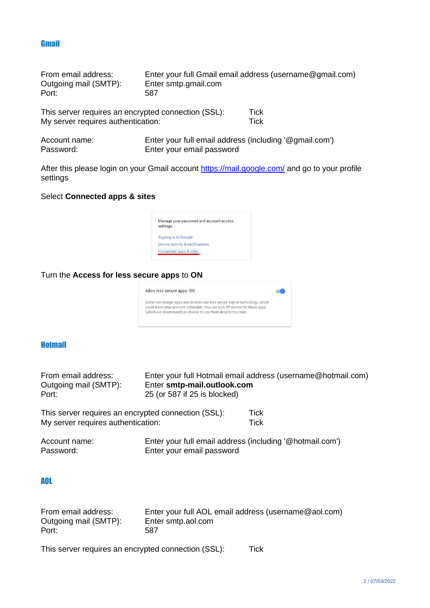#### **Gmail**

| From email address:                                 |                      | Enter your full Gmail email address (username@gmail.com) |
|-----------------------------------------------------|----------------------|----------------------------------------------------------|
| Outgoing mail (SMTP):                               | Enter smtp.gmail.com |                                                          |
| Port:                                               | 587                  |                                                          |
| This server requires an encrypted connection (SSL): |                      | Tick                                                     |
| My server requires authentication:                  |                      | Tick                                                     |

| Account name: | Enter your full email address (including '@gmail.com') |
|---------------|--------------------------------------------------------|
| Password:     | Enter your email password                              |

After this please login on your Gmail account<https://mail.google.com/> and go to your profile settings

### Select **Connected apps & sites**



## Turn the **Access for less secure apps** to **ON**



## **Hotmail**

| From email address:                                 | Enter your full Hotmail email address (username@hotmail.com) |                                                          |  |
|-----------------------------------------------------|--------------------------------------------------------------|----------------------------------------------------------|--|
| Outgoing mail (SMTP):                               | Enter smtp-mail.outlook.com                                  |                                                          |  |
| Port:                                               | 25 (or 587 if 25 is blocked)                                 |                                                          |  |
| This server requires an encrypted connection (SSL): |                                                              | Tick                                                     |  |
| My server requires authentication:                  |                                                              | <b>Tick</b>                                              |  |
| Account name:<br>Password:                          | Enter your email password                                    | Enter your full email address (including '@hotmail.com') |  |

#### AOL

| From email address:   | Enter your full AOL email address (username@aol.com) |
|-----------------------|------------------------------------------------------|
| Outgoing mail (SMTP): | Enter smtp.aol.com                                   |
| Port:                 | 587                                                  |

This server requires an encrypted connection (SSL): Tick